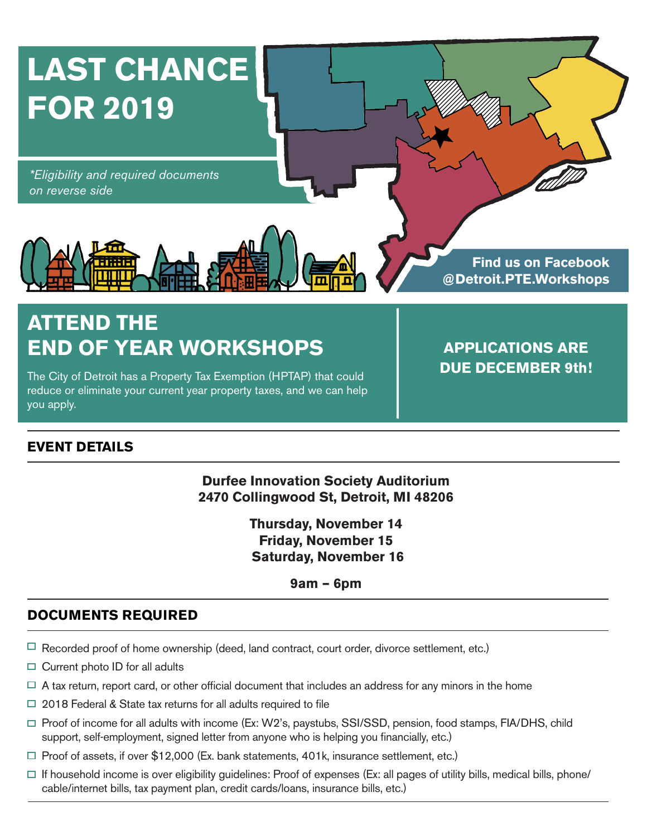

# **ATTEND THE END OF YEAR WORKSHOPS APPLICATIONS ARE**

The City of Detroit has a Property Tax Exemption (HPTAP) that could reduce or eliminate your current year property taxes, and we can help you apply.

**DUE DECEMBER 9th!**

### **EVENT DETAILS**

**Durfee Innovation Society Auditorium 2470 Collingwood St, Detroit, MI 48206**

> **Thursday, November 14 Friday, November 15 Saturday, November 16**

> > **9am – 6pm**

## **DOCUMENTS REQUIRED**

- $\Box$  Recorded proof of home ownership (deed, land contract, court order, divorce settlement, etc.)
- $\Box$  Current photo ID for all adults
- $\Box$  A tax return, report card, or other official document that includes an address for any minors in the home
- $\Box$  2018 Federal & State tax returns for all adults required to file
- $\Box$  Proof of income for all adults with income (Ex: W2's, paystubs, SSI/SSD, pension, food stamps, FIA/DHS, child support, self-employment, signed letter from anyone who is helping you financially, etc.)
- $\Box$  Proof of assets, if over \$12,000 (Ex. bank statements, 401k, insurance settlement, etc.)
- $\Box$  If household income is over eligibility guidelines: Proof of expenses (Ex: all pages of utility bills, medical bills, phone/ cable/internet bills, tax payment plan, credit cards/loans, insurance bills, etc.)